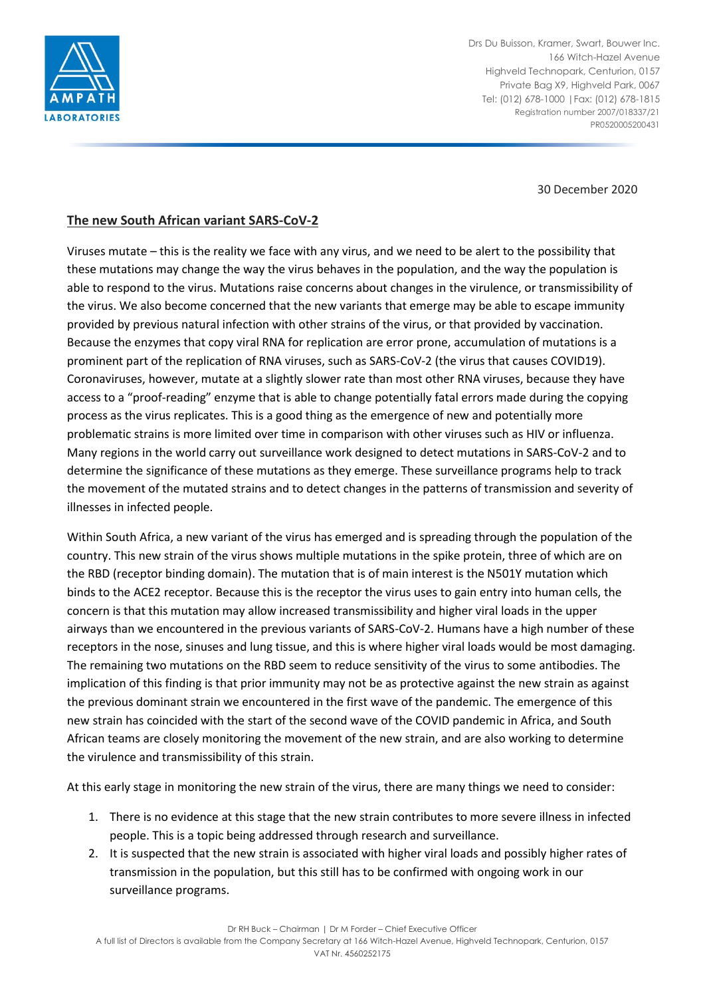

Drs Du Buisson, Kramer, Swart, Bouwer Inc. 166 Witch-Hazel Avenue Highveld Technopark, Centurion, 0157 Private Bag X9, Highveld Park, 0067 Tel: (012) 678-1000 |Fax: (012) 678-1815 Registration number 2007/018337/21 PR0520005200431

30 December 2020

## **The new South African variant SARS-CoV-2**

Viruses mutate – this is the reality we face with any virus, and we need to be alert to the possibility that these mutations may change the way the virus behaves in the population, and the way the population is able to respond to the virus. Mutations raise concerns about changes in the virulence, or transmissibility of the virus. We also become concerned that the new variants that emerge may be able to escape immunity provided by previous natural infection with other strains of the virus, or that provided by vaccination. Because the enzymes that copy viral RNA for replication are error prone, accumulation of mutations is a prominent part of the replication of RNA viruses, such as SARS-CoV-2 (the virus that causes COVID19). Coronaviruses, however, mutate at a slightly slower rate than most other RNA viruses, because they have access to a "proof-reading" enzyme that is able to change potentially fatal errors made during the copying process as the virus replicates. This is a good thing as the emergence of new and potentially more problematic strains is more limited over time in comparison with other viruses such as HIV or influenza. Many regions in the world carry out surveillance work designed to detect mutations in SARS-CoV-2 and to determine the significance of these mutations as they emerge. These surveillance programs help to track the movement of the mutated strains and to detect changes in the patterns of transmission and severity of illnesses in infected people.

Within South Africa, a new variant of the virus has emerged and is spreading through the population of the country. This new strain of the virus shows multiple mutations in the spike protein, three of which are on the RBD (receptor binding domain). The mutation that is of main interest is the N501Y mutation which binds to the ACE2 receptor. Because this is the receptor the virus uses to gain entry into human cells, the concern is that this mutation may allow increased transmissibility and higher viral loads in the upper airways than we encountered in the previous variants of SARS-CoV-2. Humans have a high number of these receptors in the nose, sinuses and lung tissue, and this is where higher viral loads would be most damaging. The remaining two mutations on the RBD seem to reduce sensitivity of the virus to some antibodies. The implication of this finding is that prior immunity may not be as protective against the new strain as against the previous dominant strain we encountered in the first wave of the pandemic. The emergence of this new strain has coincided with the start of the second wave of the COVID pandemic in Africa, and South African teams are closely monitoring the movement of the new strain, and are also working to determine the virulence and transmissibility of this strain.

At this early stage in monitoring the new strain of the virus, there are many things we need to consider:

- 1. There is no evidence at this stage that the new strain contributes to more severe illness in infected people. This is a topic being addressed through research and surveillance.
- 2. It is suspected that the new strain is associated with higher viral loads and possibly higher rates of transmission in the population, but this still has to be confirmed with ongoing work in our surveillance programs.

Dr RH Buck – Chairman | Dr M Forder – Chief Executive Officer

A full list of Directors is available from the Company Secretary at 166 Witch-Hazel Avenue, Highveld Technopark, Centurion, 0157 VAT Nr. 4560252175